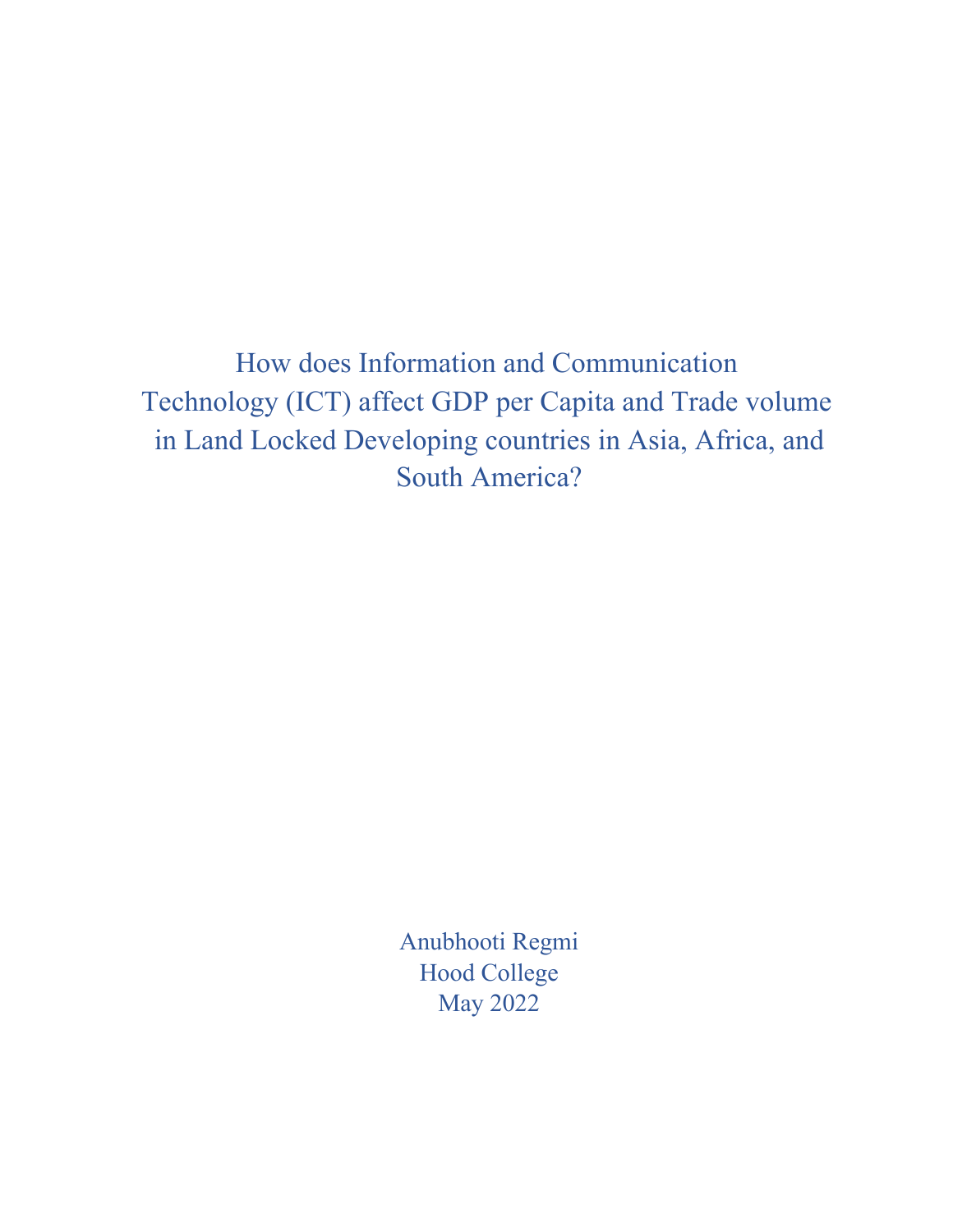How does Information and Communication Technology (ICT) affect GDP per Capita and Trade volume in Land Locked Developing countries in Asia, Africa, and South America?

> Anubhooti Regmi Hood College May 2022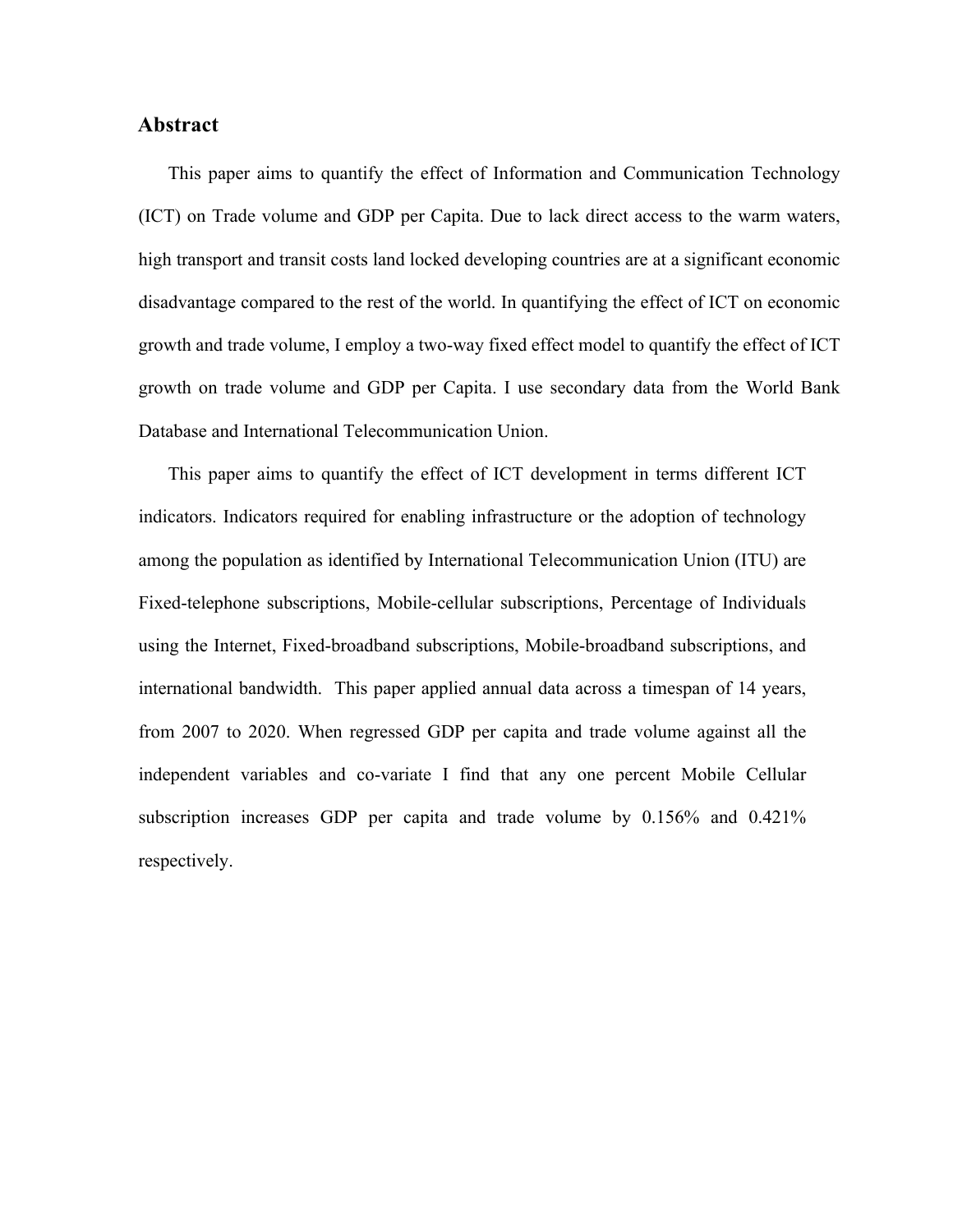#### **Abstract**

This paper aims to quantify the effect of Information and Communication Technology (ICT) on Trade volume and GDP per Capita. Due to lack direct access to the warm waters, high transport and transit costs land locked developing countries are at a significant economic disadvantage compared to the rest of the world. In quantifying the effect of ICT on economic growth and trade volume, I employ a two-way fixed effect model to quantify the effect of ICT growth on trade volume and GDP per Capita. I use secondary data from the World Bank Database and International Telecommunication Union.

This paper aims to quantify the effect of ICT development in terms different ICT indicators. Indicators required for enabling infrastructure or the adoption of technology among the population as identified by International Telecommunication Union (ITU) are Fixed-telephone subscriptions, Mobile-cellular subscriptions, Percentage of Individuals using the Internet, Fixed-broadband subscriptions, Mobile-broadband subscriptions, and international bandwidth. This paper applied annual data across a timespan of 14 years, from 2007 to 2020. When regressed GDP per capita and trade volume against all the independent variables and co-variate I find that any one percent Mobile Cellular subscription increases GDP per capita and trade volume by 0.156% and 0.421% respectively.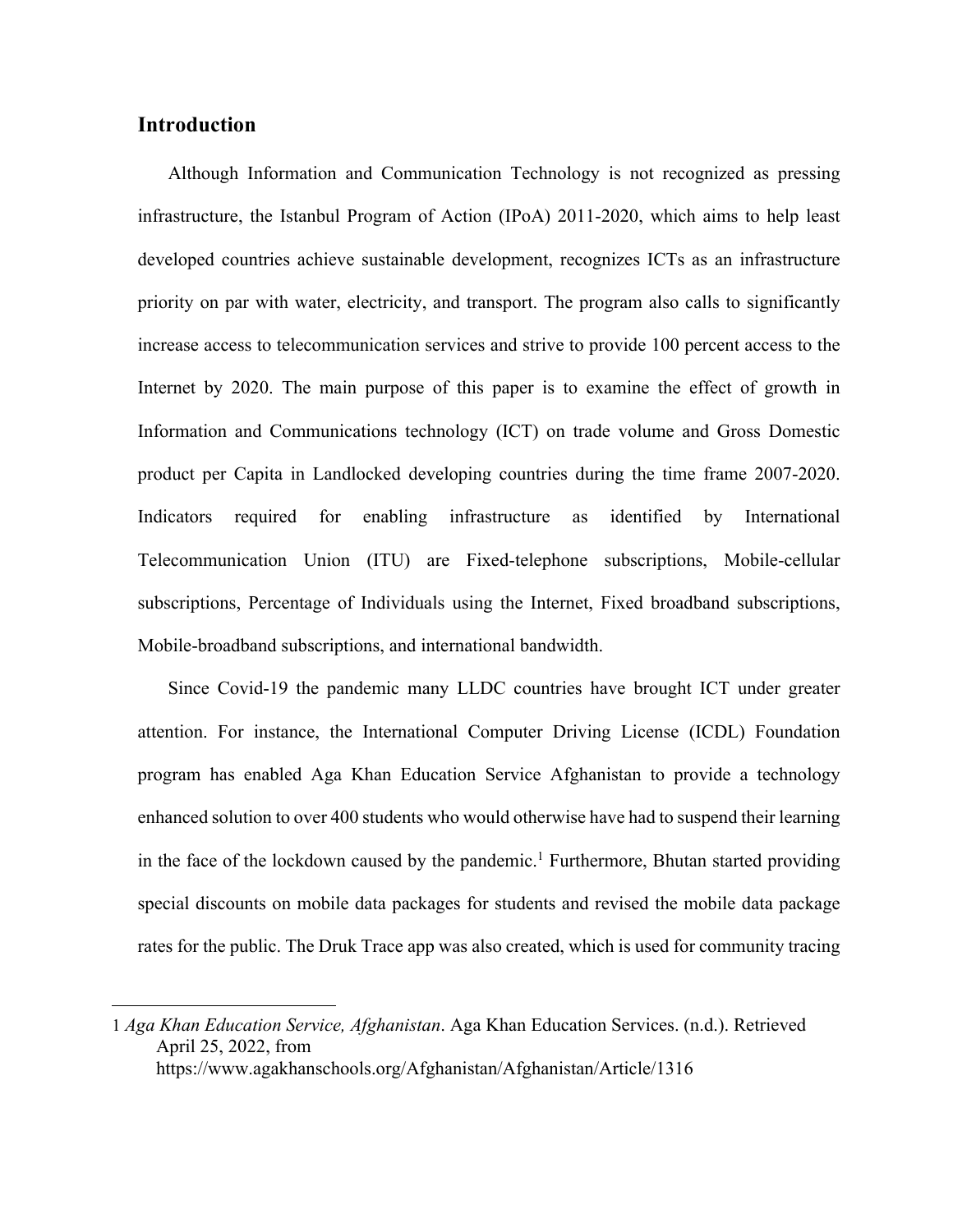### **Introduction**

Although Information and Communication Technology is not recognized as pressing infrastructure, the Istanbul Program of Action (IPoA) 2011-2020, which aims to help least developed countries achieve sustainable development, recognizes ICTs as an infrastructure priority on par with water, electricity, and transport. The program also calls to significantly increase access to telecommunication services and strive to provide 100 percent access to the Internet by 2020. The main purpose of this paper is to examine the effect of growth in Information and Communications technology (ICT) on trade volume and Gross Domestic product per Capita in Landlocked developing countries during the time frame 2007-2020. Indicators required for enabling infrastructure as identified by International Telecommunication Union (ITU) are Fixed-telephone subscriptions, Mobile-cellular subscriptions, Percentage of Individuals using the Internet, Fixed broadband subscriptions, Mobile-broadband subscriptions, and international bandwidth.

Since Covid-19 the pandemic many LLDC countries have brought ICT under greater attention. For instance, the International Computer Driving License (ICDL) Foundation program has enabled Aga Khan Education Service Afghanistan to provide a technology enhanced solution to over 400 students who would otherwise have had to suspend their learning in the face of the lockdown caused by the pandemic.<sup>1</sup> Furthermore, Bhutan started providing special discounts on mobile data packages for students and revised the mobile data package rates for the public. The Druk Trace app was also created, which is used for community tracing

<sup>1</sup> *Aga Khan Education Service, Afghanistan*. Aga Khan Education Services. (n.d.). Retrieved April 25, 2022, from https://www.agakhanschools.org/Afghanistan/Afghanistan/Article/1316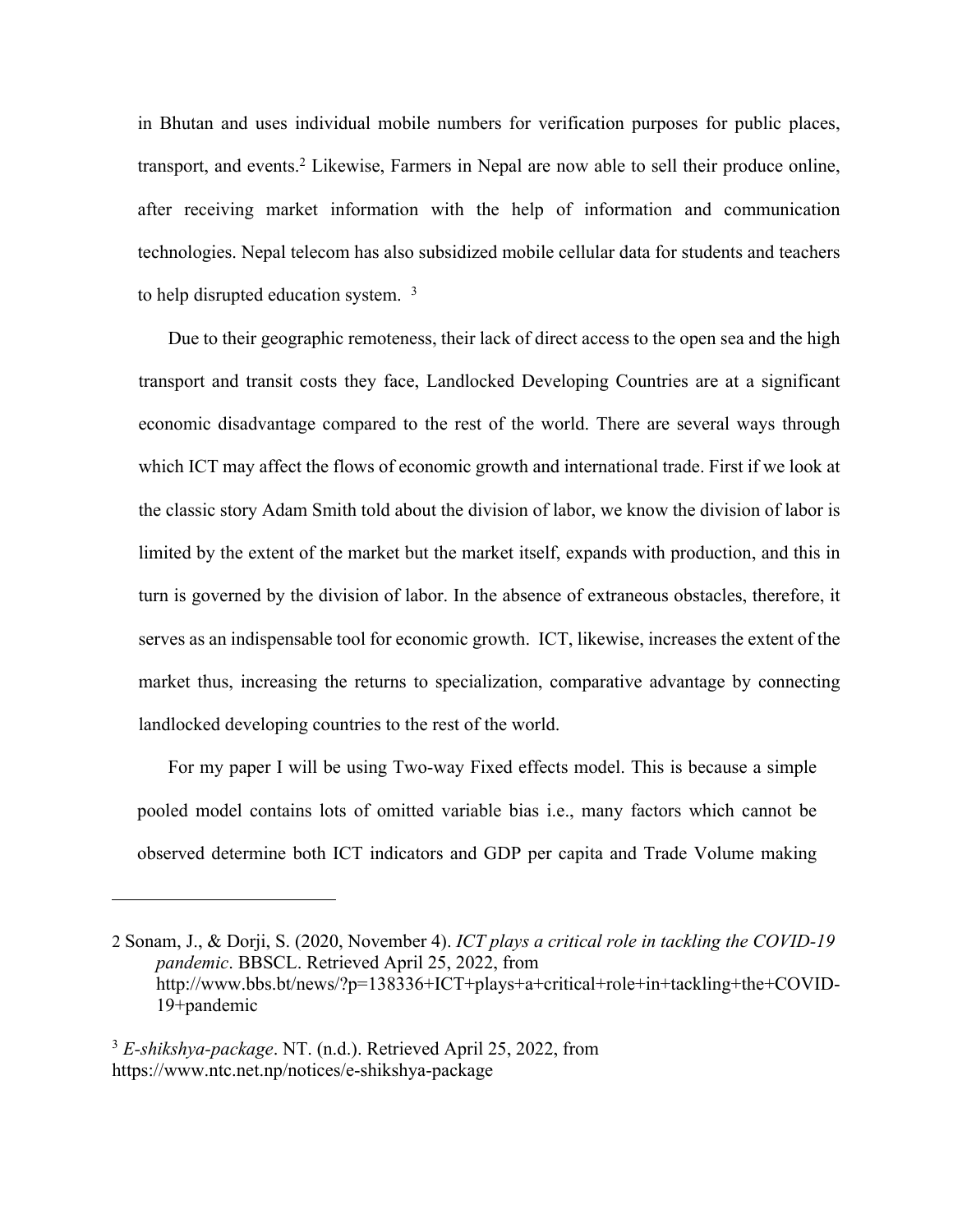in Bhutan and uses individual mobile numbers for verification purposes for public places, transport, and events.<sup>2</sup> Likewise, Farmers in Nepal are now able to sell their produce online, after receiving market information with the help of information and communication technologies. Nepal telecom has also subsidized mobile cellular data for students and teachers to help disrupted education system. <sup>3</sup>

Due to their geographic remoteness, their lack of direct access to the open sea and the high transport and transit costs they face, Landlocked Developing Countries are at a significant economic disadvantage compared to the rest of the world. There are several ways through which ICT may affect the flows of economic growth and international trade. First if we look at the classic story Adam Smith told about the division of labor, we know the division of labor is limited by the extent of the market but the market itself, expands with production, and this in turn is governed by the division of labor. In the absence of extraneous obstacles, therefore, it serves as an indispensable tool for economic growth. ICT, likewise, increases the extent of the market thus, increasing the returns to specialization, comparative advantage by connecting landlocked developing countries to the rest of the world.

For my paper I will be using Two-way Fixed effects model. This is because a simple pooled model contains lots of omitted variable bias i.e., many factors which cannot be observed determine both ICT indicators and GDP per capita and Trade Volume making

<sup>2</sup> Sonam, J., & Dorji, S. (2020, November 4). *ICT plays a critical role in tackling the COVID-19 pandemic*. BBSCL. Retrieved April 25, 2022, from http://www.bbs.bt/news/?p=138336+ICT+plays+a+critical+role+in+tackling+the+COVID-19+pandemic

<sup>3</sup> *E-shikshya-package*. NT. (n.d.). Retrieved April 25, 2022, from https://www.ntc.net.np/notices/e-shikshya-package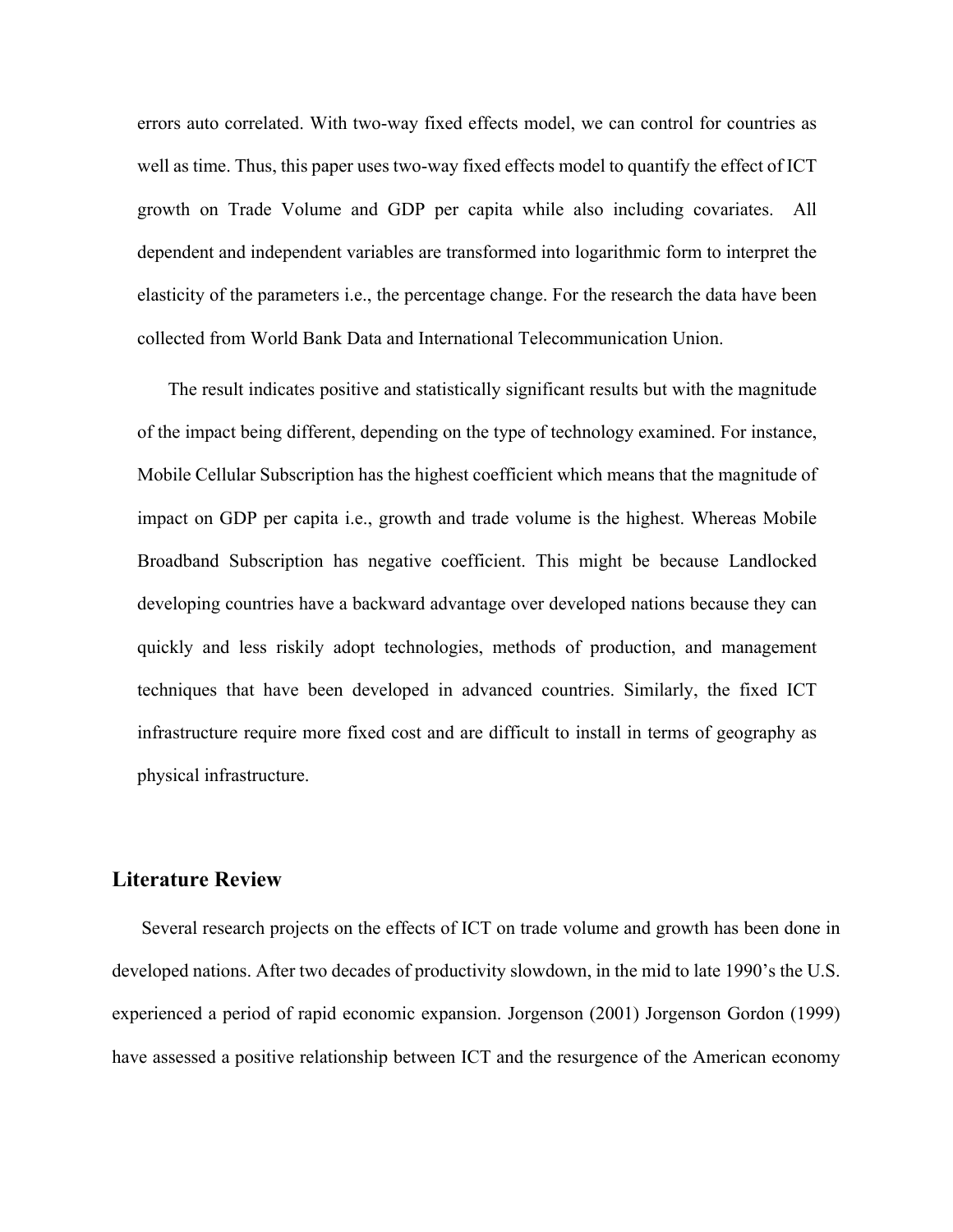errors auto correlated. With two-way fixed effects model, we can control for countries as well as time. Thus, this paper uses two-way fixed effects model to quantify the effect of ICT growth on Trade Volume and GDP per capita while also including covariates. All dependent and independent variables are transformed into logarithmic form to interpret the elasticity of the parameters i.e., the percentage change. For the research the data have been collected from World Bank Data and International Telecommunication Union.

The result indicates positive and statistically significant results but with the magnitude of the impact being different, depending on the type of technology examined. For instance, Mobile Cellular Subscription has the highest coefficient which means that the magnitude of impact on GDP per capita i.e., growth and trade volume is the highest. Whereas Mobile Broadband Subscription has negative coefficient. This might be because Landlocked developing countries have a backward advantage over developed nations because they can quickly and less riskily adopt technologies, methods of production, and management techniques that have been developed in advanced countries. Similarly, the fixed ICT infrastructure require more fixed cost and are difficult to install in terms of geography as physical infrastructure.

### **Literature Review**

Several research projects on the effects of ICT on trade volume and growth has been done in developed nations. After two decades of productivity slowdown, in the mid to late 1990's the U.S. experienced a period of rapid economic expansion. Jorgenson (2001) Jorgenson Gordon (1999) have assessed a positive relationship between ICT and the resurgence of the American economy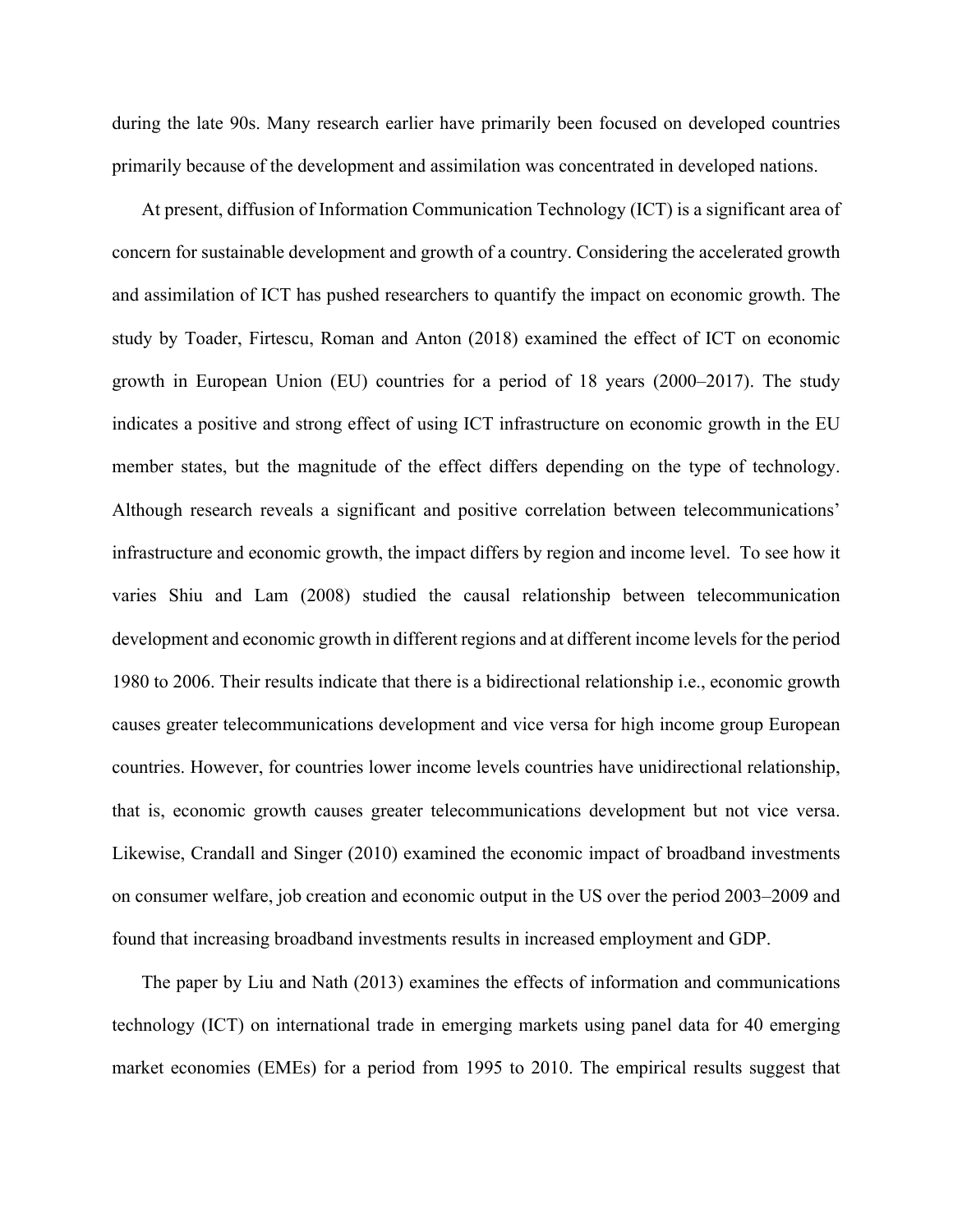during the late 90s. Many research earlier have primarily been focused on developed countries primarily because of the development and assimilation was concentrated in developed nations.

At present, diffusion of Information Communication Technology (ICT) is a significant area of concern for sustainable development and growth of a country. Considering the accelerated growth and assimilation of ICT has pushed researchers to quantify the impact on economic growth. The study by Toader, Firtescu, Roman and Anton (2018) examined the effect of ICT on economic growth in European Union (EU) countries for a period of 18 years (2000–2017). The study indicates a positive and strong effect of using ICT infrastructure on economic growth in the EU member states, but the magnitude of the effect differs depending on the type of technology. Although research reveals a significant and positive correlation between telecommunications' infrastructure and economic growth, the impact differs by region and income level. To see how it varies Shiu and Lam (2008) studied the causal relationship between telecommunication development and economic growth in different regions and at different income levels for the period 1980 to 2006. Their results indicate that there is a bidirectional relationship i.e., economic growth causes greater telecommunications development and vice versa for high income group European countries. However, for countries lower income levels countries have unidirectional relationship, that is, economic growth causes greater telecommunications development but not vice versa. Likewise, Crandall and Singer (2010) examined the economic impact of broadband investments on consumer welfare, job creation and economic output in the US over the period 2003–2009 and found that increasing broadband investments results in increased employment and GDP.

The paper by Liu and Nath (2013) examines the effects of information and communications technology (ICT) on international trade in emerging markets using panel data for 40 emerging market economies (EMEs) for a period from 1995 to 2010. The empirical results suggest that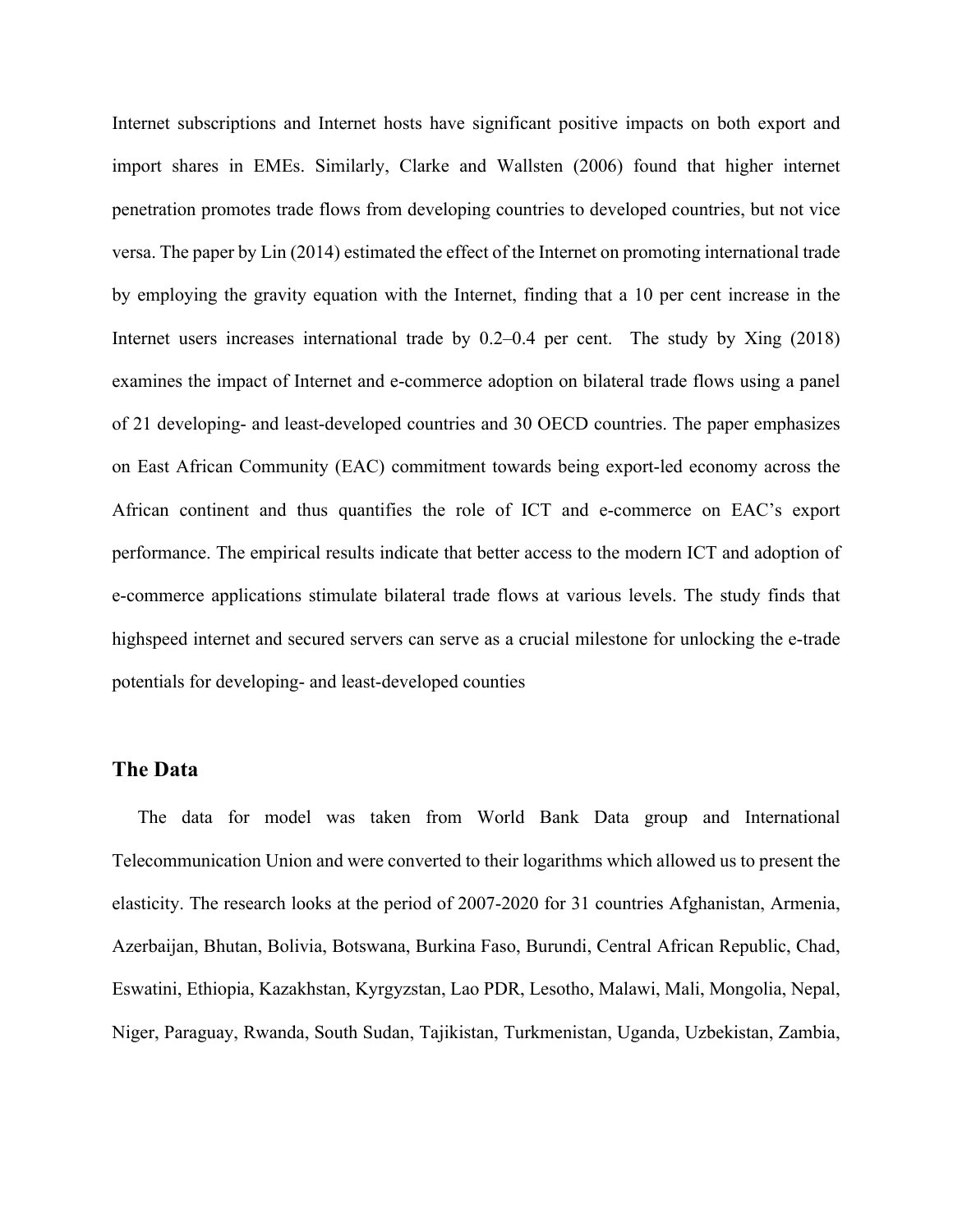Internet subscriptions and Internet hosts have significant positive impacts on both export and import shares in EMEs. Similarly, Clarke and Wallsten (2006) found that higher internet penetration promotes trade flows from developing countries to developed countries, but not vice versa. The paper by Lin (2014) estimated the effect of the Internet on promoting international trade by employing the gravity equation with the Internet, finding that a 10 per cent increase in the Internet users increases international trade by 0.2–0.4 per cent. The study by Xing (2018) examines the impact of Internet and e-commerce adoption on bilateral trade flows using a panel of 21 developing- and least-developed countries and 30 OECD countries. The paper emphasizes on East African Community (EAC) commitment towards being export-led economy across the African continent and thus quantifies the role of ICT and e-commerce on EAC's export performance. The empirical results indicate that better access to the modern ICT and adoption of e-commerce applications stimulate bilateral trade flows at various levels. The study finds that highspeed internet and secured servers can serve as a crucial milestone for unlocking the e-trade potentials for developing- and least-developed counties

#### **The Data**

The data for model was taken from World Bank Data group and International Telecommunication Union and were converted to their logarithms which allowed us to present the elasticity. The research looks at the period of 2007-2020 for 31 countries Afghanistan, Armenia, Azerbaijan, Bhutan, Bolivia, Botswana, Burkina Faso, Burundi, Central African Republic, Chad, Eswatini, Ethiopia, Kazakhstan, Kyrgyzstan, Lao PDR, Lesotho, Malawi, Mali, Mongolia, Nepal, Niger, Paraguay, Rwanda, South Sudan, Tajikistan, Turkmenistan, Uganda, Uzbekistan, Zambia,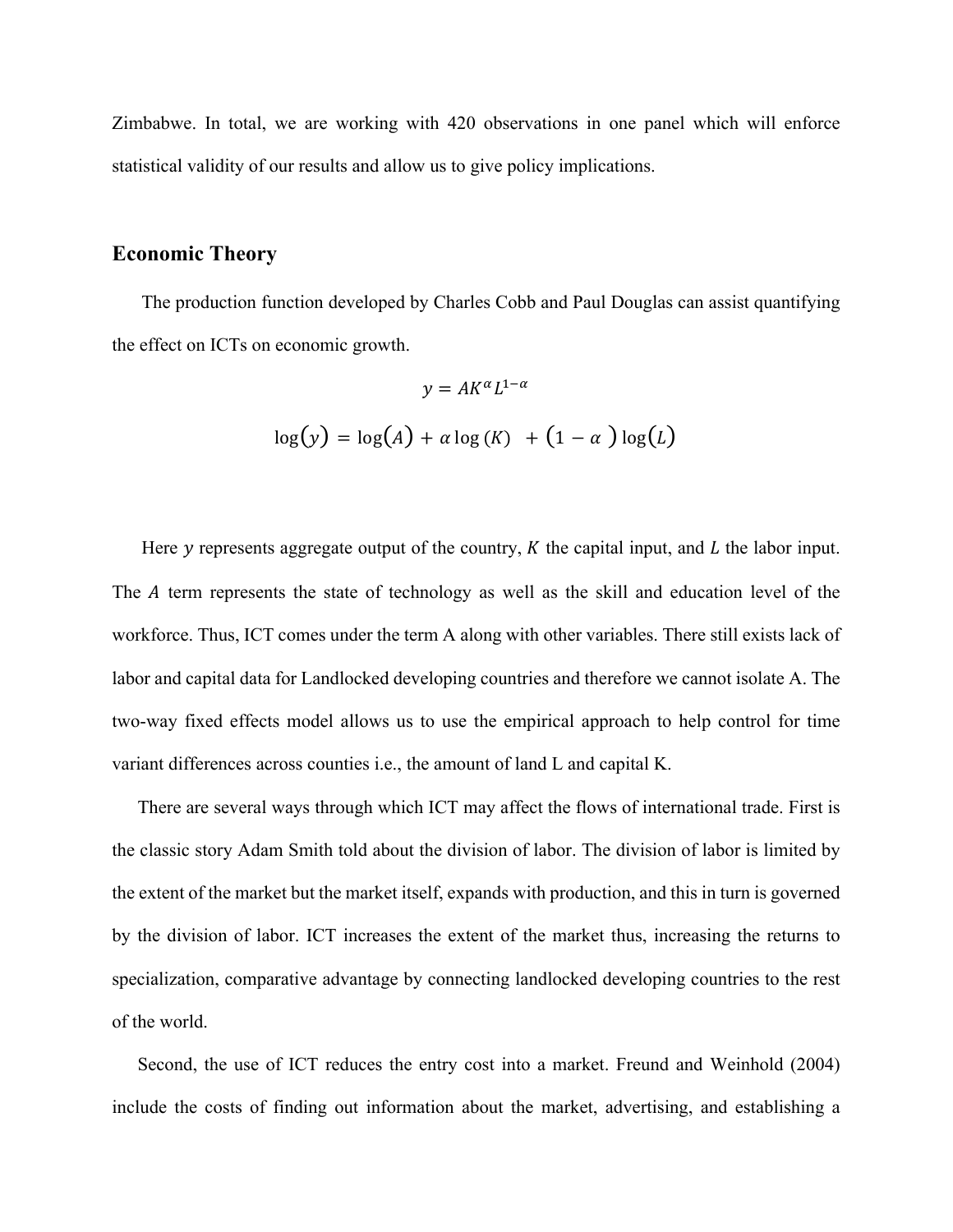Zimbabwe. In total, we are working with 420 observations in one panel which will enforce statistical validity of our results and allow us to give policy implications.

### **Economic Theory**

The production function developed by Charles Cobb and Paul Douglas can assist quantifying the effect on ICTs on economic growth.

$$
y = AK^{\alpha}L^{1-\alpha}
$$

$$
\log(y) = \log(A) + \alpha \log(K) + (1 - \alpha) \log(L)
$$

Here  $y$  represents aggregate output of the country,  $K$  the capital input, and  $L$  the labor input. The A term represents the state of technology as well as the skill and education level of the workforce. Thus, ICT comes under the term A along with other variables. There still exists lack of labor and capital data for Landlocked developing countries and therefore we cannot isolate A. The two-way fixed effects model allows us to use the empirical approach to help control for time variant differences across counties i.e., the amount of land L and capital K.

There are several ways through which ICT may affect the flows of international trade. First is the classic story Adam Smith told about the division of labor. The division of labor is limited by the extent of the market but the market itself, expands with production, and this in turn is governed by the division of labor. ICT increases the extent of the market thus, increasing the returns to specialization, comparative advantage by connecting landlocked developing countries to the rest of the world.

Second, the use of ICT reduces the entry cost into a market. Freund and Weinhold (2004) include the costs of finding out information about the market, advertising, and establishing a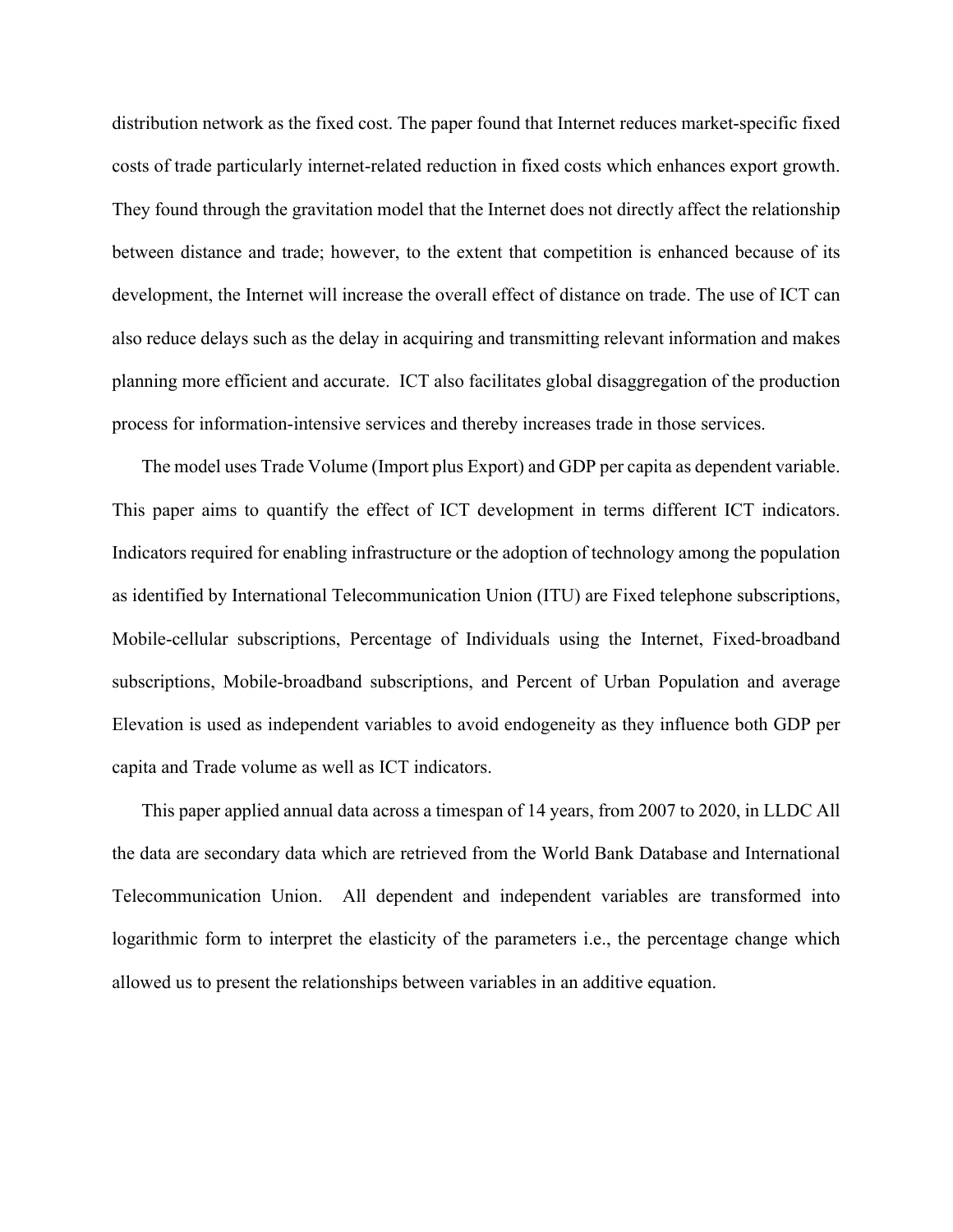distribution network as the fixed cost. The paper found that Internet reduces market-specific fixed costs of trade particularly internet-related reduction in fixed costs which enhances export growth. They found through the gravitation model that the Internet does not directly affect the relationship between distance and trade; however, to the extent that competition is enhanced because of its development, the Internet will increase the overall effect of distance on trade. The use of ICT can also reduce delays such as the delay in acquiring and transmitting relevant information and makes planning more efficient and accurate. ICT also facilitates global disaggregation of the production process for information-intensive services and thereby increases trade in those services.

The model uses Trade Volume (Import plus Export) and GDP per capita as dependent variable. This paper aims to quantify the effect of ICT development in terms different ICT indicators. Indicators required for enabling infrastructure or the adoption of technology among the population as identified by International Telecommunication Union (ITU) are Fixed telephone subscriptions, Mobile-cellular subscriptions, Percentage of Individuals using the Internet, Fixed-broadband subscriptions, Mobile-broadband subscriptions, and Percent of Urban Population and average Elevation is used as independent variables to avoid endogeneity as they influence both GDP per capita and Trade volume as well as ICT indicators.

This paper applied annual data across a timespan of 14 years, from 2007 to 2020, in LLDC All the data are secondary data which are retrieved from the World Bank Database and International Telecommunication Union. All dependent and independent variables are transformed into logarithmic form to interpret the elasticity of the parameters i.e., the percentage change which allowed us to present the relationships between variables in an additive equation.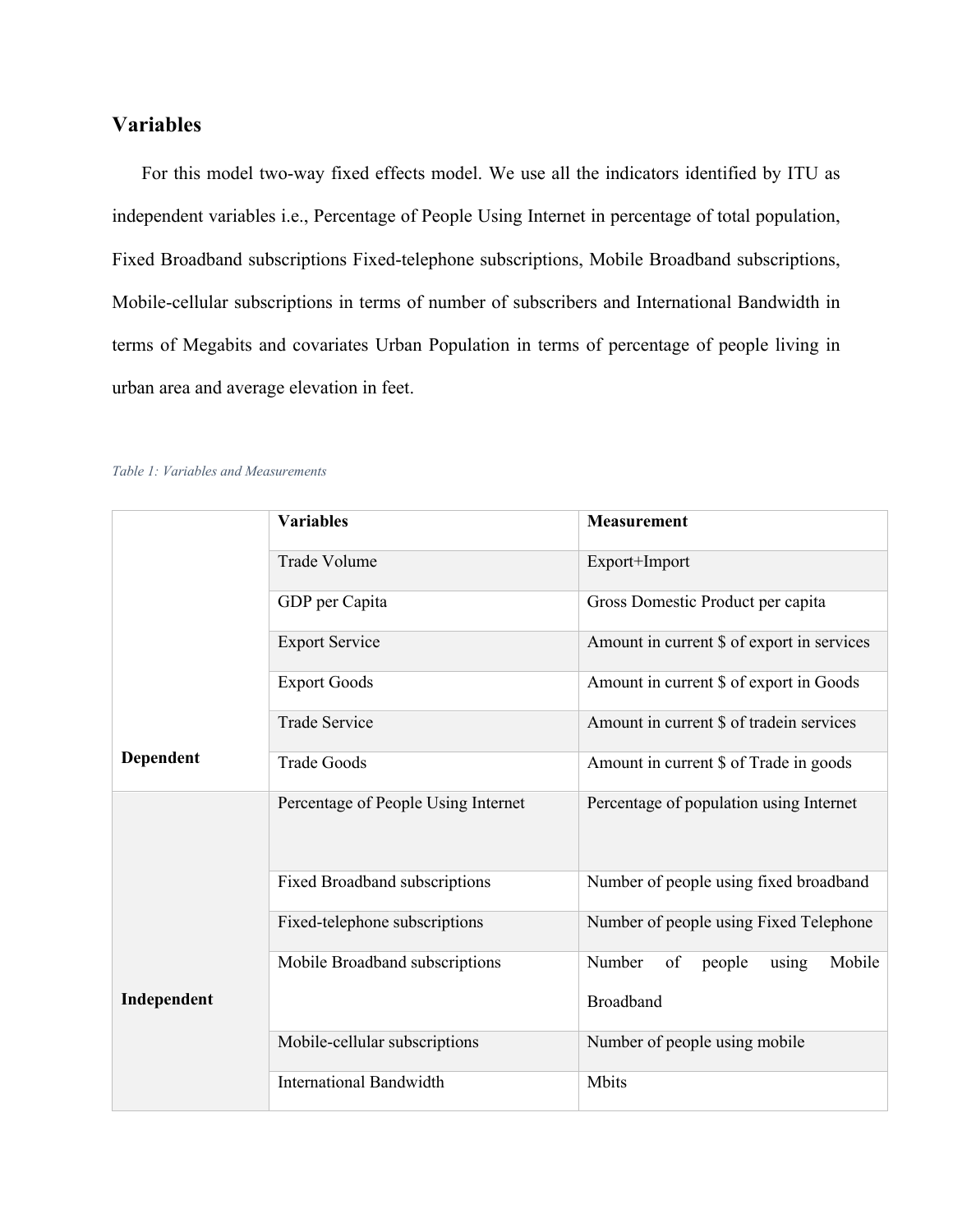# **Variables**

For this model two-way fixed effects model. We use all the indicators identified by ITU as independent variables i.e., Percentage of People Using Internet in percentage of total population, Fixed Broadband subscriptions Fixed-telephone subscriptions, Mobile Broadband subscriptions, Mobile-cellular subscriptions in terms of number of subscribers and International Bandwidth in terms of Megabits and covariates Urban Population in terms of percentage of people living in urban area and average elevation in feet.

|             | <b>Variables</b>                    | <b>Measurement</b>                                                               |  |  |  |
|-------------|-------------------------------------|----------------------------------------------------------------------------------|--|--|--|
|             |                                     | Export+Import<br>Gross Domestic Product per capita                               |  |  |  |
|             | Trade Volume                        |                                                                                  |  |  |  |
|             | GDP per Capita                      |                                                                                  |  |  |  |
|             | <b>Export Service</b>               | Amount in current \$ of export in services                                       |  |  |  |
|             | <b>Export Goods</b>                 | Amount in current \$ of export in Goods                                          |  |  |  |
|             | <b>Trade Service</b>                | Amount in current \$ of tradein services                                         |  |  |  |
| Dependent   | <b>Trade Goods</b>                  | Amount in current \$ of Trade in goods                                           |  |  |  |
|             | Percentage of People Using Internet | Percentage of population using Internet                                          |  |  |  |
|             | Fixed Broadband subscriptions       | Number of people using fixed broadband<br>Number of people using Fixed Telephone |  |  |  |
|             | Fixed-telephone subscriptions       |                                                                                  |  |  |  |
|             | Mobile Broadband subscriptions      | Number<br>Mobile<br>of<br>people<br>using                                        |  |  |  |
| Independent |                                     | Broadband                                                                        |  |  |  |
|             | Mobile-cellular subscriptions       | Number of people using mobile                                                    |  |  |  |
|             | <b>International Bandwidth</b>      | Mbits                                                                            |  |  |  |

#### *Table 1: Variables and Measurements*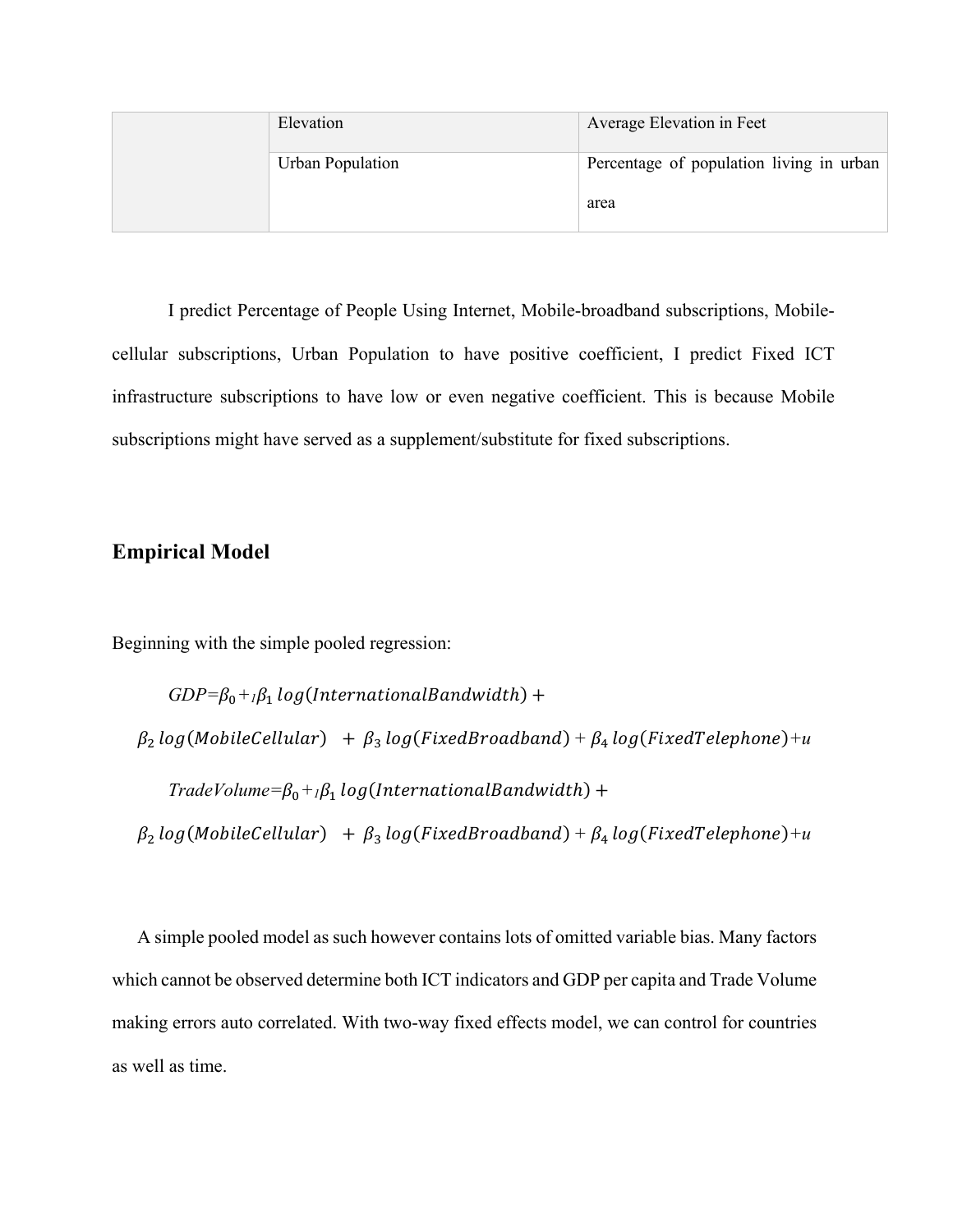| Elevation               | Average Elevation in Feet                |
|-------------------------|------------------------------------------|
| <b>Urban Population</b> | Percentage of population living in urban |
|                         | area                                     |

I predict Percentage of People Using Internet, Mobile-broadband subscriptions, Mobilecellular subscriptions, Urban Population to have positive coefficient, I predict Fixed ICT infrastructure subscriptions to have low or even negative coefficient. This is because Mobile subscriptions might have served as a supplement/substitute for fixed subscriptions.

#### **Empirical Model**

Beginning with the simple pooled regression:

 $GDP = \beta_0 + \beta_1 log(InternationalBandwidth) +$  $\beta_2$  log(MobileCellular) +  $\beta_3$  log(FixedBroadband) +  $\beta_4$  log(FixedTelephone) + u  $TradeVolume = \beta_0 + \beta_1 log(InternationalBandwidth) +$  $\beta_2$  log(MobileCellular) +  $\beta_3$  log(FixedBroadband) +  $\beta_4$  log(FixedTelephone) + u

A simple pooled model as such however contains lots of omitted variable bias. Many factors which cannot be observed determine both ICT indicators and GDP per capita and Trade Volume making errors auto correlated. With two-way fixed effects model, we can control for countries as well as time.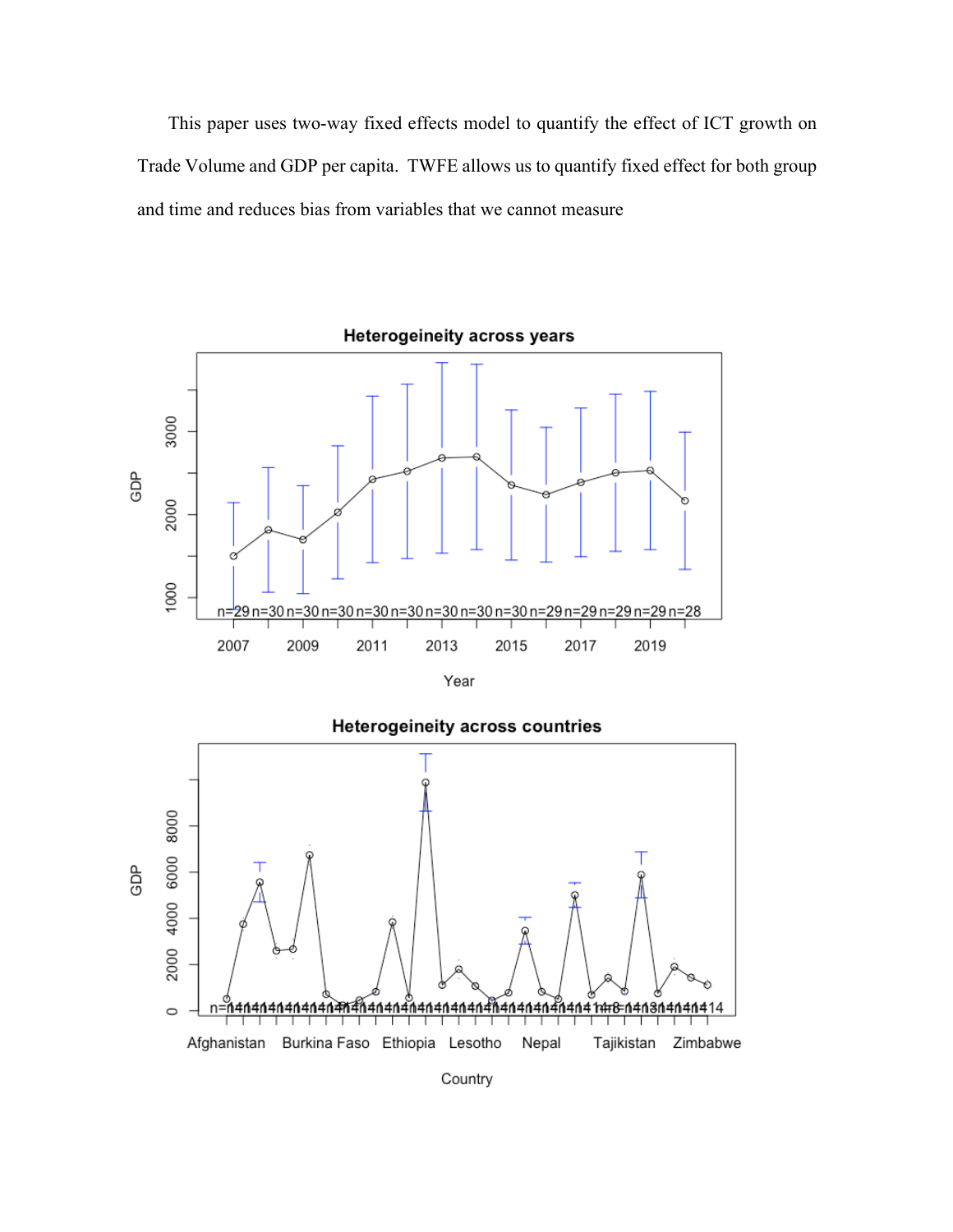This paper uses two-way fixed effects model to quantify the effect of ICT growth on Trade Volume and GDP per capita. TWFE allows us to quantify fixed effect for both group and time and reduces bias from variables that we cannot measure



### **Heterogeineity across countries**



Country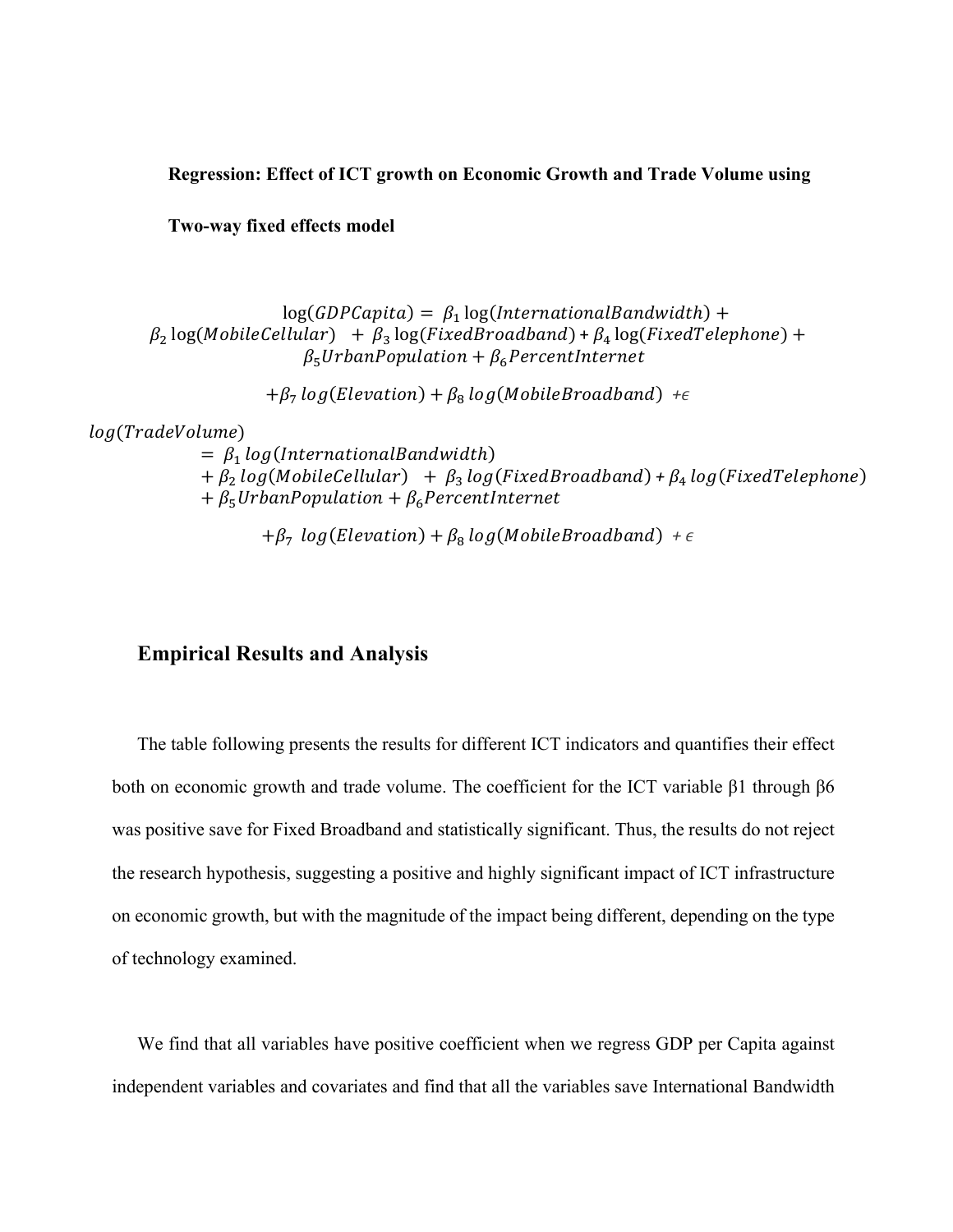#### **Regression: Effect of ICT growth on Economic Growth and Trade Volume using**

**Two-way fixed effects model**

 $log(GDPCapital) = \beta_1 log(InternationalBandwidth) +$  $\beta_2$  log(MobileCellular) +  $\beta_3$  log(FixedBroadband) +  $\beta_4$  log(FixedTelephone) +  $\beta_5$ UrbanPopulation +  $\beta_6$ PercentInternet

 $+\beta_7 \log(Elevation) + \beta_8 \log(Mobile Broadband) + \epsilon$ 

log(TradeVolume)

 $= \beta_1 log(InternationalBandwidth)$  $+ \beta_2 log(MobileCellular) + \beta_3 log(Fixed Broadband) + \beta_4 log(Fixed Telephone)$  $+ \beta_5$ UrbanPopulation  $+ \beta_6$ PercentInternet

 $+\beta_7 \log(Elevation) + \beta_8 \log(Mobile Broadband) + \epsilon$ 

# **Empirical Results and Analysis**

The table following presents the results for different ICT indicators and quantifies their effect both on economic growth and trade volume. The coefficient for the ICT variable β1 through β6 was positive save for Fixed Broadband and statistically significant. Thus, the results do not reject the research hypothesis, suggesting a positive and highly significant impact of ICT infrastructure on economic growth, but with the magnitude of the impact being different, depending on the type of technology examined.

We find that all variables have positive coefficient when we regress GDP per Capita against independent variables and covariates and find that all the variables save International Bandwidth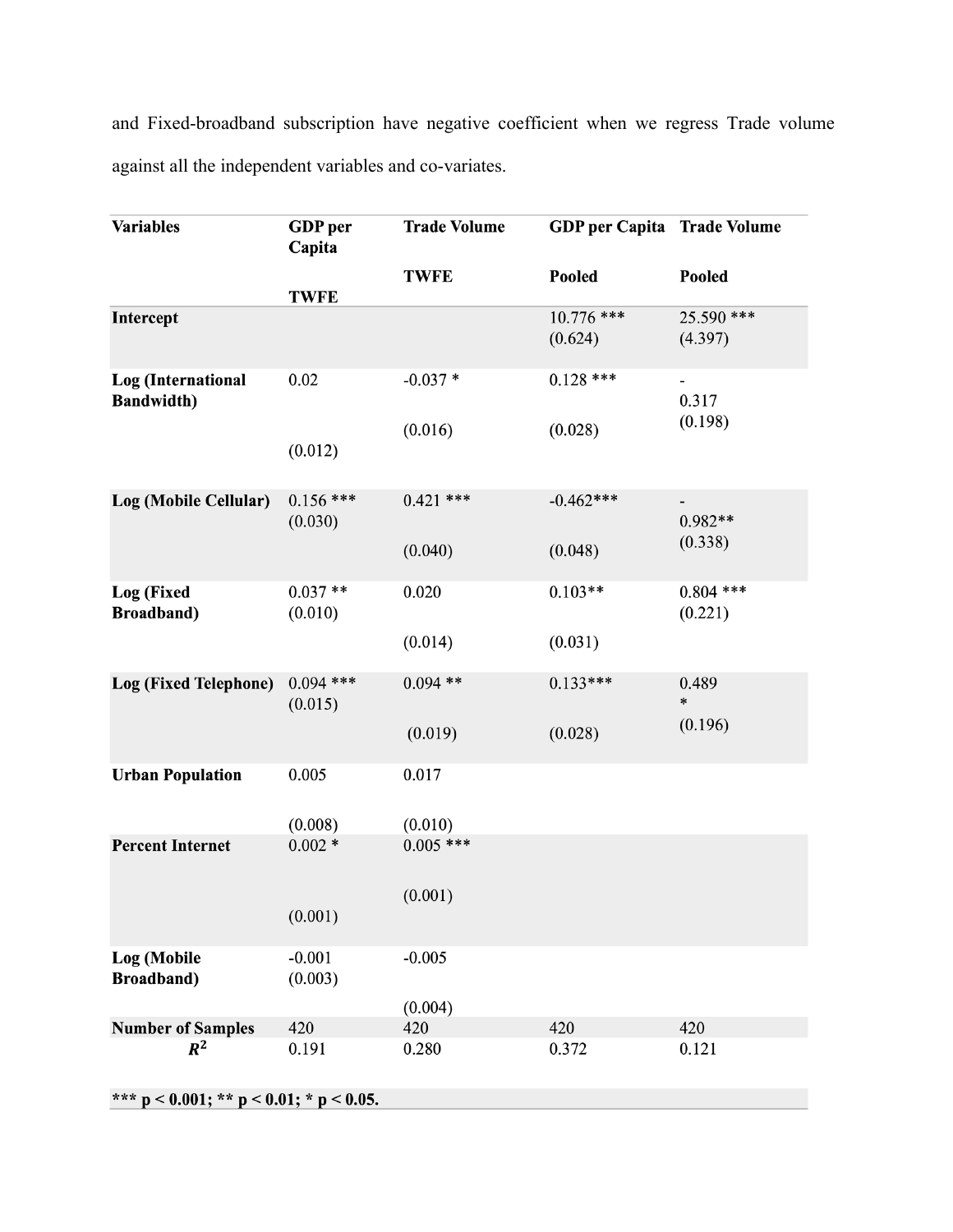and Fixed-broadband subscription have negative coefficient when we regress Trade volume against all the independent variables and co-variates.

| <b>Variables</b>                                 | <b>GDP</b> per<br>Capita | <b>Trade Volume</b> | <b>GDP</b> per Capita Trade Volume |                        |  |  |
|--------------------------------------------------|--------------------------|---------------------|------------------------------------|------------------------|--|--|
|                                                  | <b>TWFE</b>              | <b>TWFE</b>         | Pooled                             | Pooled                 |  |  |
| Intercept                                        |                          |                     | $10.776$ ***<br>(0.624)            | 25.590 ***<br>(4.397)  |  |  |
| <b>Log</b> (International<br><b>Bandwidth)</b>   | 0.02                     | $-0.037*$           | $0.128$ ***                        | 0.317<br>(0.198)       |  |  |
|                                                  | (0.012)                  | (0.016)             | (0.028)                            |                        |  |  |
| Log (Mobile Cellular)                            | $0.156$ ***<br>(0.030)   | $0.421$ ***         | $-0.462***$                        | $0.982**$              |  |  |
|                                                  |                          | (0.040)             | (0.048)                            | (0.338)                |  |  |
| Log (Fixed<br><b>Broadband</b> )                 | $0.037**$<br>(0.010)     | 0.020               | $0.103**$                          | $0.804$ ***<br>(0.221) |  |  |
|                                                  |                          | (0.014)             | (0.031)                            |                        |  |  |
| <b>Log (Fixed Telephone)</b>                     | $0.094$ ***<br>(0.015)   | $0.094$ **          | $0.133***$                         | 0.489<br>$\ast$        |  |  |
|                                                  |                          | (0.019)             | (0.028)                            | (0.196)                |  |  |
| <b>Urban Population</b>                          | 0.005                    | 0.017               |                                    |                        |  |  |
|                                                  | (0.008)                  | (0.010)             |                                    |                        |  |  |
| <b>Percent Internet</b>                          | $0.002 *$                | $0.005$ ***         |                                    |                        |  |  |
|                                                  | (0.001)                  | (0.001)             |                                    |                        |  |  |
| Log (Mobile<br><b>Broadband</b> )                | $-0.001$<br>(0.003)      | $-0.005$            |                                    |                        |  |  |
|                                                  |                          | (0.004)             |                                    |                        |  |  |
| <b>Number of Samples</b>                         | 420                      | 420                 | 420                                | 420                    |  |  |
| $R^2$                                            | 0.191                    | 0.280               | 0.372                              | 0.121                  |  |  |
| *** $p < 0.001$ ; ** $p < 0.01$ ; * $p < 0.05$ . |                          |                     |                                    |                        |  |  |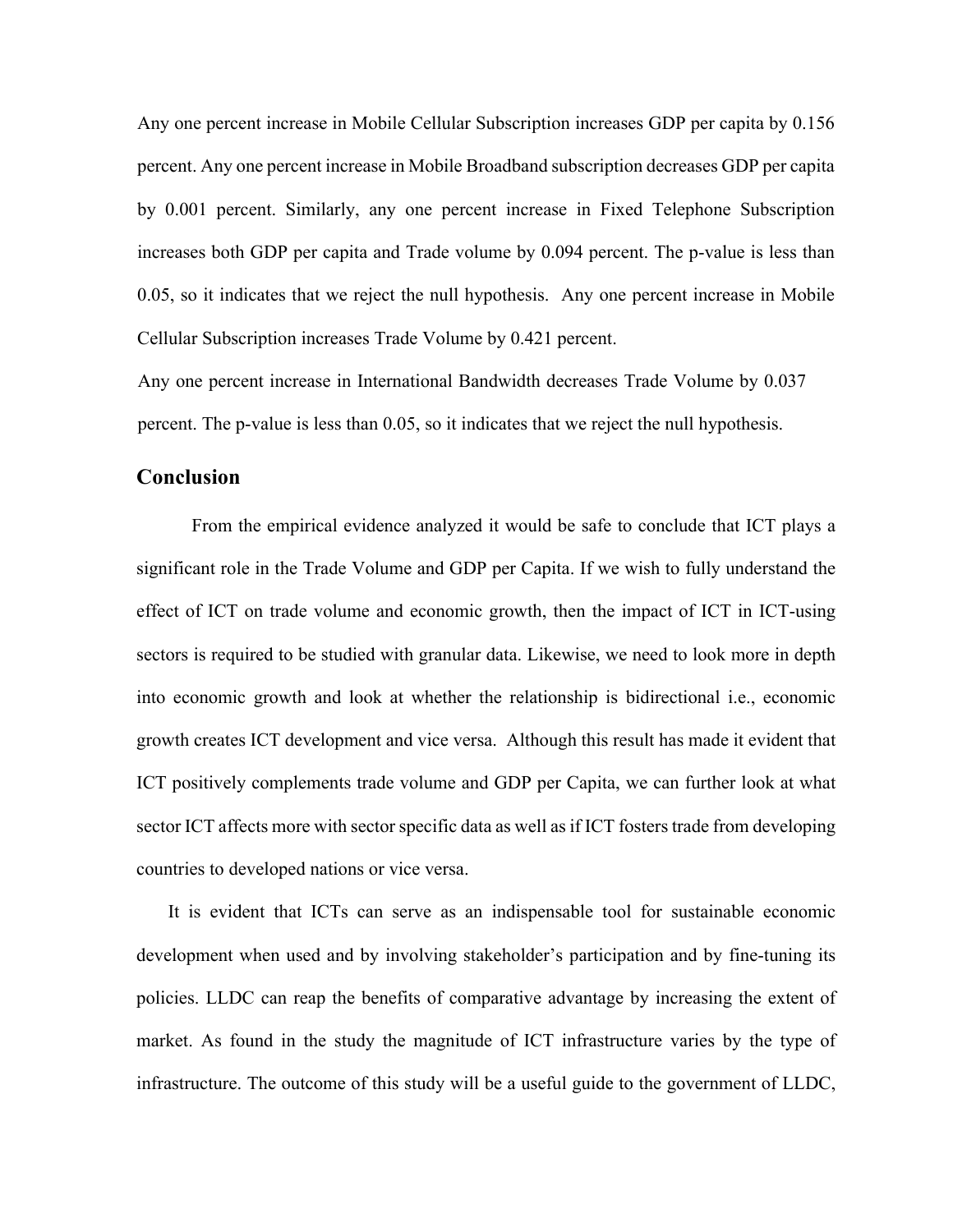Any one percent increase in Mobile Cellular Subscription increases GDP per capita by 0.156 percent. Any one percent increase in Mobile Broadband subscription decreases GDP per capita by 0.001 percent. Similarly, any one percent increase in Fixed Telephone Subscription increases both GDP per capita and Trade volume by 0.094 percent. The p-value is less than 0.05, so it indicates that we reject the null hypothesis. Any one percent increase in Mobile Cellular Subscription increases Trade Volume by 0.421 percent.

Any one percent increase in International Bandwidth decreases Trade Volume by 0.037 percent. The p-value is less than 0.05, so it indicates that we reject the null hypothesis.

#### **Conclusion**

From the empirical evidence analyzed it would be safe to conclude that ICT plays a significant role in the Trade Volume and GDP per Capita. If we wish to fully understand the effect of ICT on trade volume and economic growth, then the impact of ICT in ICT-using sectors is required to be studied with granular data. Likewise, we need to look more in depth into economic growth and look at whether the relationship is bidirectional i.e., economic growth creates ICT development and vice versa. Although this result has made it evident that ICT positively complements trade volume and GDP per Capita, we can further look at what sector ICT affects more with sector specific data as well as if ICT fosters trade from developing countries to developed nations or vice versa.

It is evident that ICTs can serve as an indispensable tool for sustainable economic development when used and by involving stakeholder's participation and by fine-tuning its policies. LLDC can reap the benefits of comparative advantage by increasing the extent of market. As found in the study the magnitude of ICT infrastructure varies by the type of infrastructure. The outcome of this study will be a useful guide to the government of LLDC,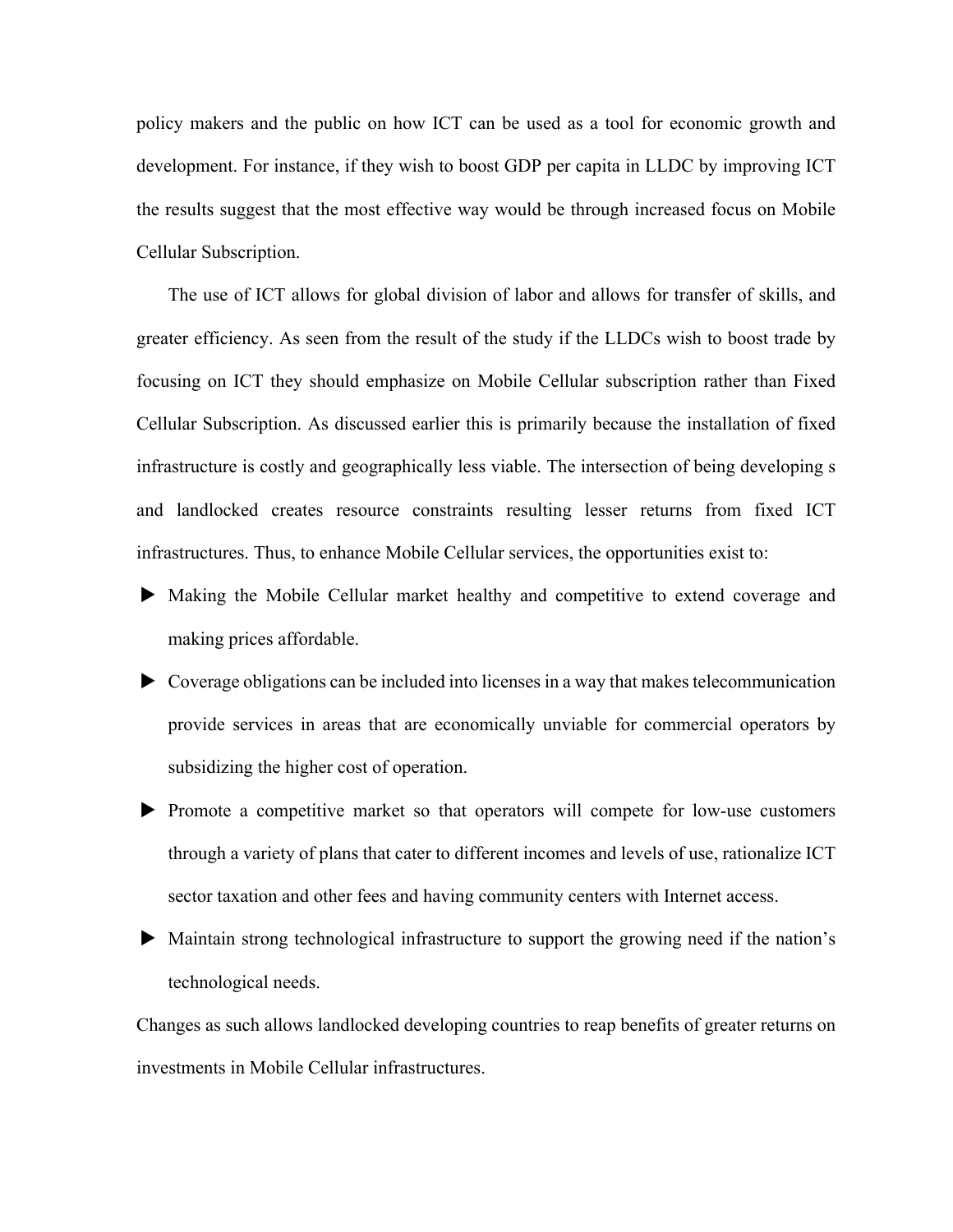policy makers and the public on how ICT can be used as a tool for economic growth and development. For instance, if they wish to boost GDP per capita in LLDC by improving ICT the results suggest that the most effective way would be through increased focus on Mobile Cellular Subscription.

The use of ICT allows for global division of labor and allows for transfer of skills, and greater efficiency. As seen from the result of the study if the LLDCs wish to boost trade by focusing on ICT they should emphasize on Mobile Cellular subscription rather than Fixed Cellular Subscription. As discussed earlier this is primarily because the installation of fixed infrastructure is costly and geographically less viable. The intersection of being developing s and landlocked creates resource constraints resulting lesser returns from fixed ICT infrastructures. Thus, to enhance Mobile Cellular services, the opportunities exist to:

- $\blacktriangleright$  Making the Mobile Cellular market healthy and competitive to extend coverage and making prices affordable.
- $\triangleright$  Coverage obligations can be included into licenses in a way that makes telecommunication provide services in areas that are economically unviable for commercial operators by subsidizing the higher cost of operation.
- $\blacktriangleright$  Promote a competitive market so that operators will compete for low-use customers through a variety of plans that cater to different incomes and levels of use, rationalize ICT sector taxation and other fees and having community centers with Internet access.
- u Maintain strong technological infrastructure to support the growing need if the nation's technological needs.

Changes as such allows landlocked developing countries to reap benefits of greater returns on investments in Mobile Cellular infrastructures.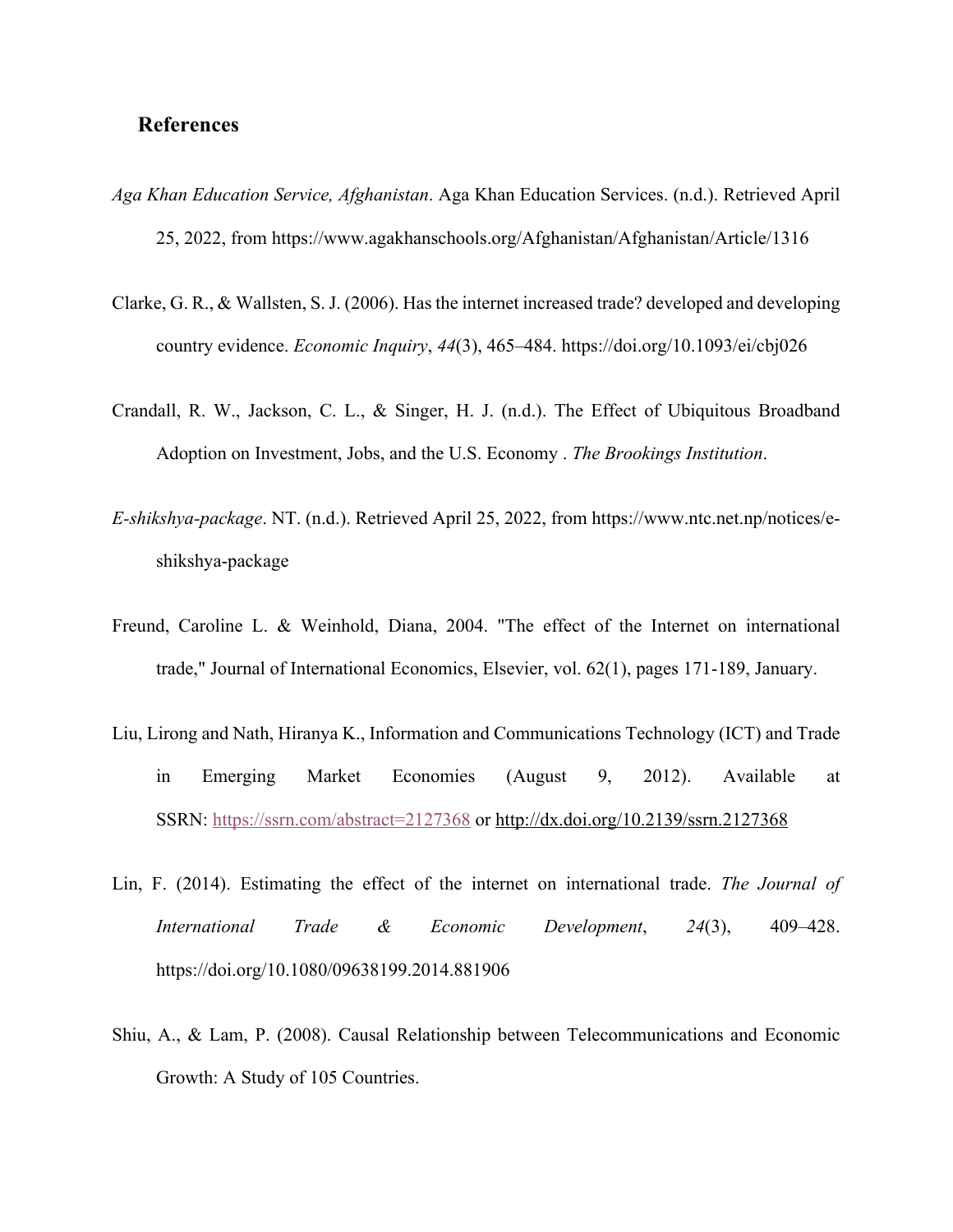## **References**

- *Aga Khan Education Service, Afghanistan*. Aga Khan Education Services. (n.d.). Retrieved April 25, 2022, from https://www.agakhanschools.org/Afghanistan/Afghanistan/Article/1316
- Clarke, G. R., & Wallsten, S. J. (2006). Has the internet increased trade? developed and developing country evidence. *Economic Inquiry*, *44*(3), 465–484. https://doi.org/10.1093/ei/cbj026
- Crandall, R. W., Jackson, C. L., & Singer, H. J. (n.d.). The Effect of Ubiquitous Broadband Adoption on Investment, Jobs, and the U.S. Economy . *The Brookings Institution*.
- *E-shikshya-package*. NT. (n.d.). Retrieved April 25, 2022, from https://www.ntc.net.np/notices/eshikshya-package
- Freund, Caroline L. & Weinhold, Diana, 2004. "The effect of the Internet on international trade," Journal of International Economics, Elsevier, vol. 62(1), pages 171-189, January.
- Liu, Lirong and Nath, Hiranya K., Information and Communications Technology (ICT) and Trade in Emerging Market Economies (August 9, 2012). Available at SSRN: https://ssrn.com/abstract=2127368 or http://dx.doi.org/10.2139/ssrn.2127368
- Lin, F. (2014). Estimating the effect of the internet on international trade. *The Journal of International Trade & Economic Development*, *24*(3), 409–428. https://doi.org/10.1080/09638199.2014.881906
- Shiu, A., & Lam, P. (2008). Causal Relationship between Telecommunications and Economic Growth: A Study of 105 Countries.